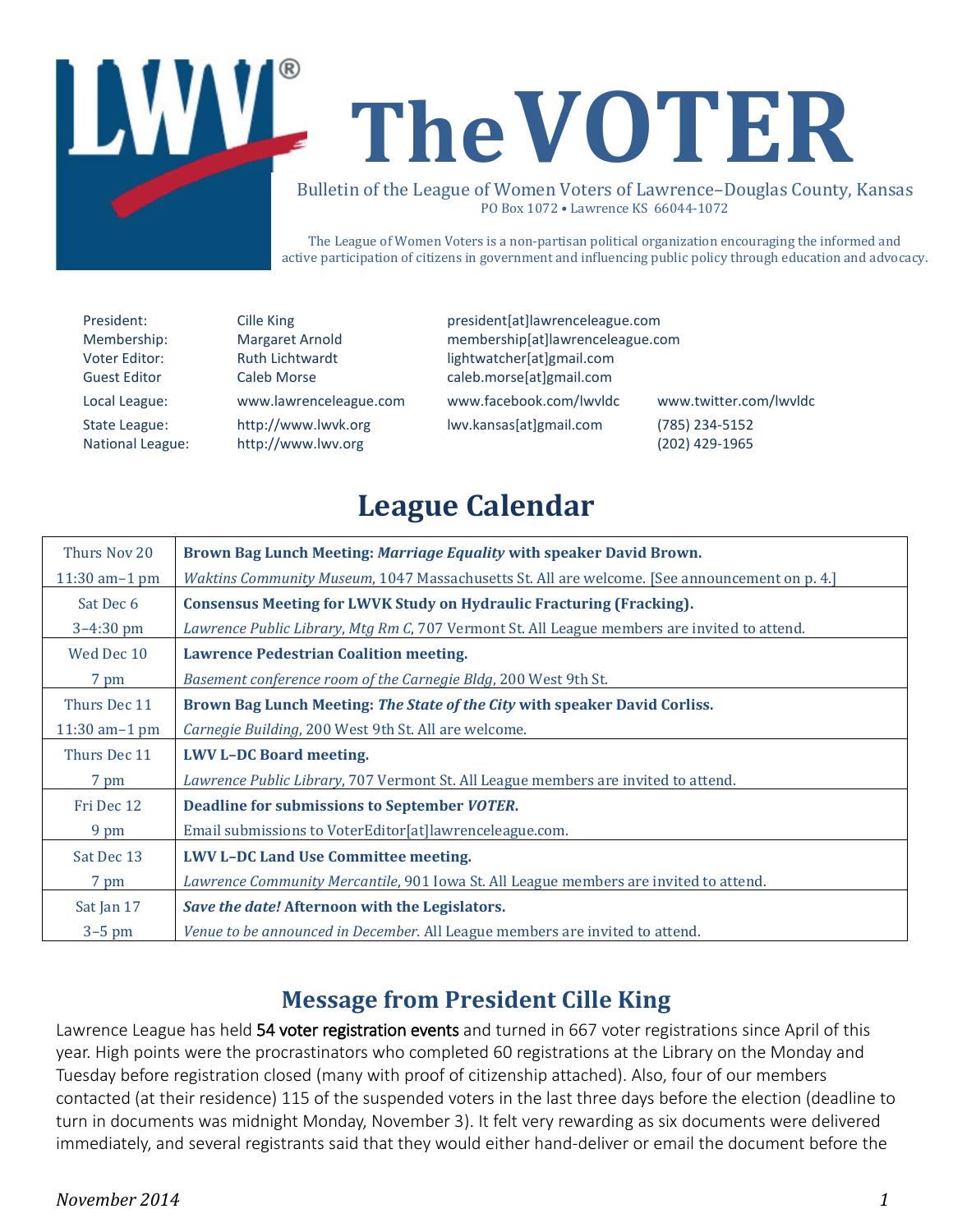

The League of Women Voters is a non-partisan political organization encouraging the informed and active participation of citizens in government and influencing public policy through education and advocacy.

President: Cille King president and president and president com-Membership: Margaret Arnold membership[at]lawrenceleague.com Voter Editor: Ruth Lichtwardt lightwatcher[at]gmail.com Guest Editor Caleb Morse caleb.morse[at]gmail.com Local League: www.lawrenceleague.com [www.facebook.com/lwvldc](http://www.facebook.com/lwvldc) www.twitter.com/lwvldc State League: [http://www.lwvk.org](http://www.lwvk.org/) lwv.kansas[at]gmail.com (785) 234-5152 National League: [http://www.lwv.org](http://www.lwv.org/) (202) 429-1965

# **League Calendar**

| Thurs Nov 20     | Brown Bag Lunch Meeting: Marriage Equality with speaker David Brown.                          |
|------------------|-----------------------------------------------------------------------------------------------|
| 11:30 am $-1$ pm | Waktins Community Museum, 1047 Massachusetts St. All are welcome. [See announcement on p. 4.] |
| Sat Dec 6        | <b>Consensus Meeting for LWVK Study on Hydraulic Fracturing (Fracking).</b>                   |
| $3-4:30$ pm      | Lawrence Public Library, Mtg Rm C, 707 Vermont St. All League members are invited to attend.  |
| Wed Dec 10       | <b>Lawrence Pedestrian Coalition meeting.</b>                                                 |
| 7 pm             | Basement conference room of the Carnegie Bldg, 200 West 9th St.                               |
| Thurs Dec 11     | Brown Bag Lunch Meeting: The State of the City with speaker David Corliss.                    |
| 11:30 am $-1$ pm | Carnegie Building, 200 West 9th St. All are welcome.                                          |
| Thurs Dec 11     | <b>LWV L-DC Board meeting.</b>                                                                |
| 7 pm             | Lawrence Public Library, 707 Vermont St. All League members are invited to attend.            |
| Fri Dec 12       | Deadline for submissions to September VOTER.                                                  |
| 9 pm             | Email submissions to VoterEditor[at]lawrenceleague.com.                                       |
| Sat Dec 13       | <b>LWV L-DC Land Use Committee meeting.</b>                                                   |
| 7 pm             | Lawrence Community Mercantile, 901 Iowa St. All League members are invited to attend.         |
| Sat Jan 17       | Save the date! Afternoon with the Legislators.                                                |
| $3-5$ pm         | Venue to be announced in December. All League members are invited to attend.                  |

## **Message from President Cille King**

Lawrence League has held 54 voter registration events and turned in 667 voter registrations since April of this year. High points were the procrastinators who completed 60 registrations at the Library on the Monday and Tuesday before registration closed (many with proof of citizenship attached). Also, four of our members contacted (at their residence) 115 of the suspended voters in the last three days before the election (deadline to turn in documents was midnight Monday, November 3). It felt very rewarding as six documents were delivered immediately, and several registrants said that they would either hand-deliver or email the document before the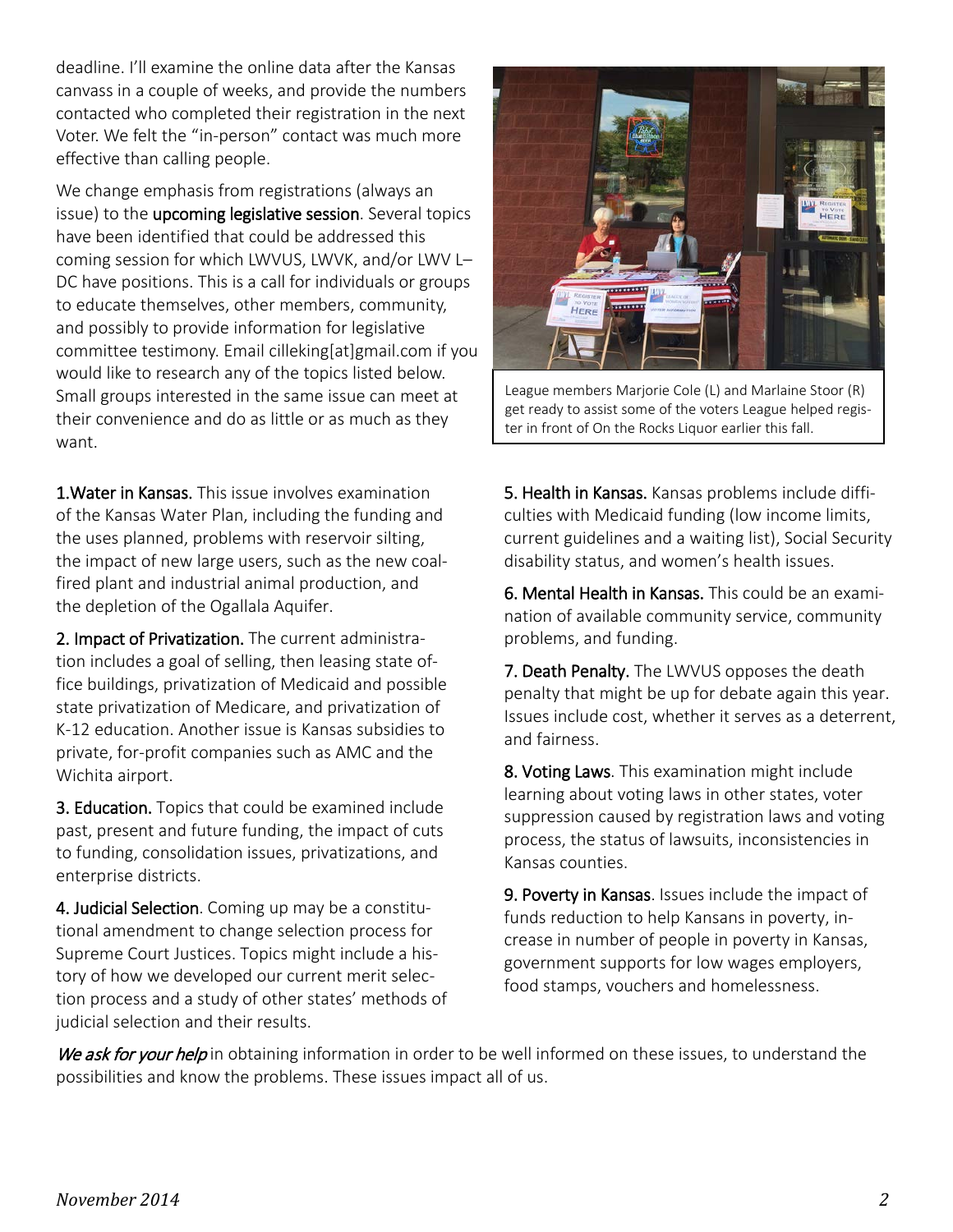deadline. I'll examine the online data after the Kansas canvass in a couple of weeks, and provide the numbers contacted who completed their registration in the next Voter. We felt the "in-person" contact was much more effective than calling people.

We change emphasis from registrations (always an issue) to the upcoming legislative session. Several topics have been identified that could be addressed this coming session for which LWVUS, LWVK, and/or LWV L– DC have positions. This is a call for individuals or groups to educate themselves, other members, community, and possibly to provide information for legislative committee testimony. Email [cilleking\[at\]gmail.com](mailto:cilleking@gmail.com) if you would like to research any of the topics listed below. Small groups interested in the same issue can meet at their convenience and do as little or as much as they want.

1.Water in Kansas. This issue involves examination of the Kansas Water Plan, including the funding and the uses planned, problems with reservoir silting, the impact of new large users, such as the new coalfired plant and industrial animal production, and the depletion of the Ogallala Aquifer.

2. Impact of Privatization. The current administration includes a goal of selling, then leasing state office buildings, privatization of Medicaid and possible state privatization of Medicare, and privatization of K-12 education. Another issue is Kansas subsidies to private, for-profit companies such as AMC and the Wichita airport.

3. Education. Topics that could be examined include past, present and future funding, the impact of cuts to funding, consolidation issues, privatizations, and enterprise districts.

4. Judicial Selection. Coming up may be a constitutional amendment to change selection process for Supreme Court Justices. Topics might include a history of how we developed our current merit selection process and a study of other states' methods of judicial selection and their results.



League members Marjorie Cole (L) and Marlaine Stoor (R) get ready to assist some of the voters League helped register in front of On the Rocks Liquor earlier this fall.

5. Health in Kansas. Kansas problems include difficulties with Medicaid funding (low income limits, current guidelines and a waiting list), Social Security disability status, and women's health issues.

6. Mental Health in Kansas. This could be an examination of available community service, community problems, and funding.

7. Death Penalty. The LWVUS opposes the death penalty that might be up for debate again this year. Issues include cost, whether it serves as a deterrent, and fairness.

8. Voting Laws. This examination might include learning about voting laws in other states, voter suppression caused by registration laws and voting process, the status of lawsuits, inconsistencies in Kansas counties.

**9. Poverty in Kansas.** Issues include the impact of funds reduction to help Kansans in poverty, increase in number of people in poverty in Kansas, government supports for low wages employers, food stamps, vouchers and homelessness.

We ask for your help in obtaining information in order to be well informed on these issues, to understand the possibilities and know the problems. These issues impact all of us.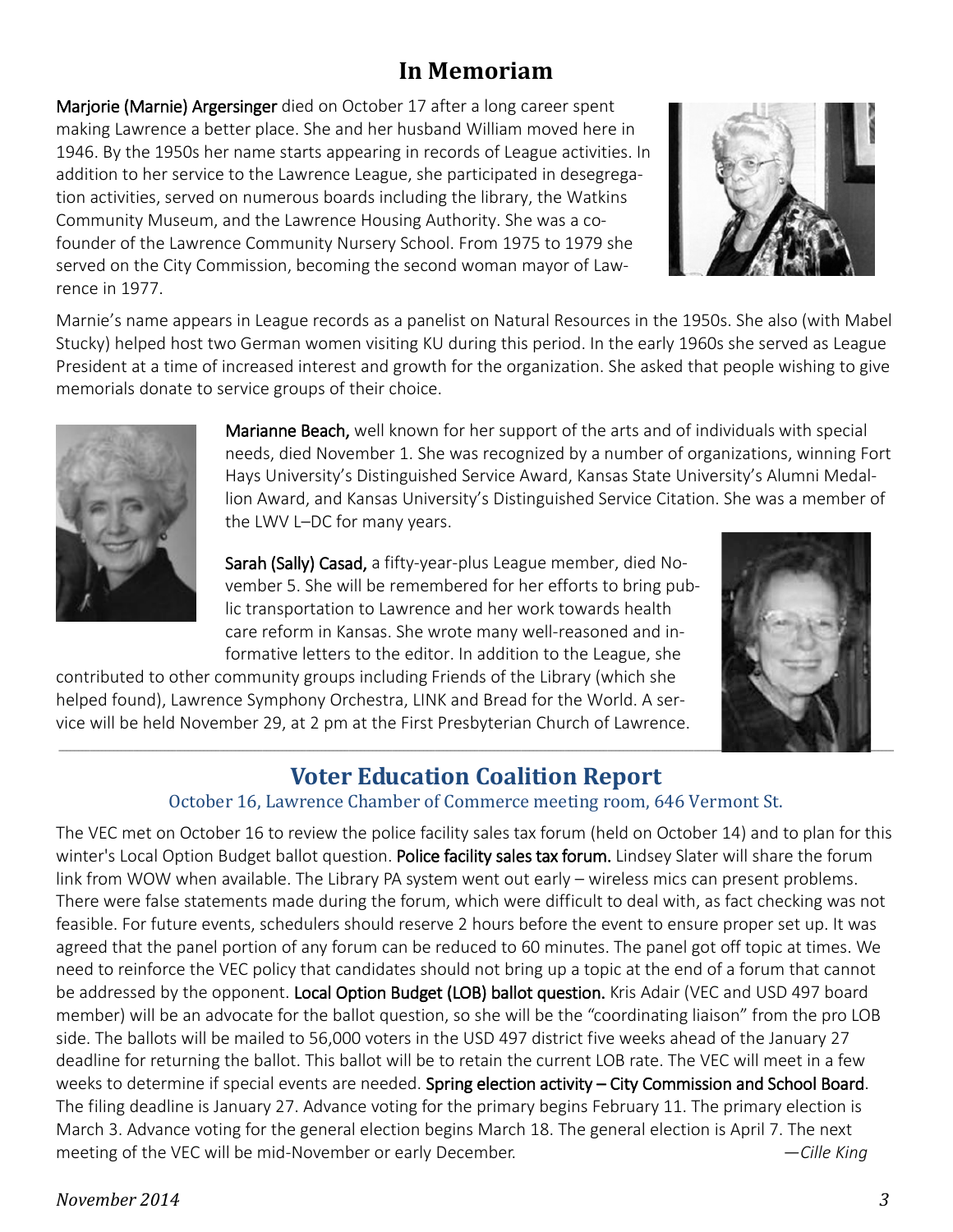### **In Memoriam**

Marjorie (Marnie) Argersinger died on October 17 after a long career spent making Lawrence a better place. She and her husband William moved here in 1946. By the 1950s her name starts appearing in records of League activities. In addition to her service to the Lawrence League, she participated in desegregation activities, served on numerous boards including the library, the Watkins Community Museum, and the Lawrence Housing Authority. She was a cofounder of the Lawrence Community Nursery School. From 1975 to 1979 she served on the City Commission, becoming the second woman mayor of Lawrence in 1977.



Marnie's name appears in League records as a panelist on Natural Resources in the 1950s. She also (with Mabel Stucky) helped host two German women visiting KU during this period. In the early 1960s she served as League President at a time of increased interest and growth for the organization. She asked that people wishing to give memorials donate to service groups of their choice.



Marianne Beach, well known for her support of the arts and of individuals with special needs, died November 1. She was recognized by a number of organizations, winning Fort Hays University's Distinguished Service Award, Kansas State University's Alumni Medallion Award, and Kansas University's Distinguished Service Citation. She was a member of the LWV L–DC for many years.

Sarah (Sally) Casad, a fifty-year-plus League member, died November 5. She will be remembered for her efforts to bring public transportation to Lawrence and her work towards health care reform in Kansas. She wrote many well-reasoned and informative letters to the editor. In addition to the League, she

contributed to other community groups including Friends of the Library (which she helped found), Lawrence Symphony Orchestra, LINK and Bread for the World. A service will be held November 29, at 2 pm at the First Presbyterian Church of Lawrence.



## **Voter Education Coalition Report**

#### October 16, Lawrence Chamber of Commerce meeting room, 646 Vermont St.

The VEC met on October 16 to review the police facility sales tax forum (held on October 14) and to plan for this winter's Local Option Budget ballot question. Police facility sales tax forum. Lindsey Slater will share the forum link from WOW when available. The Library PA system went out early – wireless mics can present problems. There were false statements made during the forum, which were difficult to deal with, as fact checking was not feasible. For future events, schedulers should reserve 2 hours before the event to ensure proper set up. It was agreed that the panel portion of any forum can be reduced to 60 minutes. The panel got off topic at times. We need to reinforce the VEC policy that candidates should not bring up a topic at the end of a forum that cannot be addressed by the opponent. Local Option Budget (LOB) ballot question. Kris Adair (VEC and USD 497 board member) will be an advocate for the ballot question, so she will be the "coordinating liaison" from the pro LOB side. The ballots will be mailed to 56,000 voters in the USD 497 district five weeks ahead of the January 27 deadline for returning the ballot. This ballot will be to retain the current LOB rate. The VEC will meet in a few weeks to determine if special events are needed. Spring election activity – City Commission and School Board. The filing deadline is January 27. Advance voting for the primary begins February 11. The primary election is March 3. Advance voting for the general election begins March 18. The general election is April 7. The next meeting of the VEC will be mid-November or early December. *—Cille King*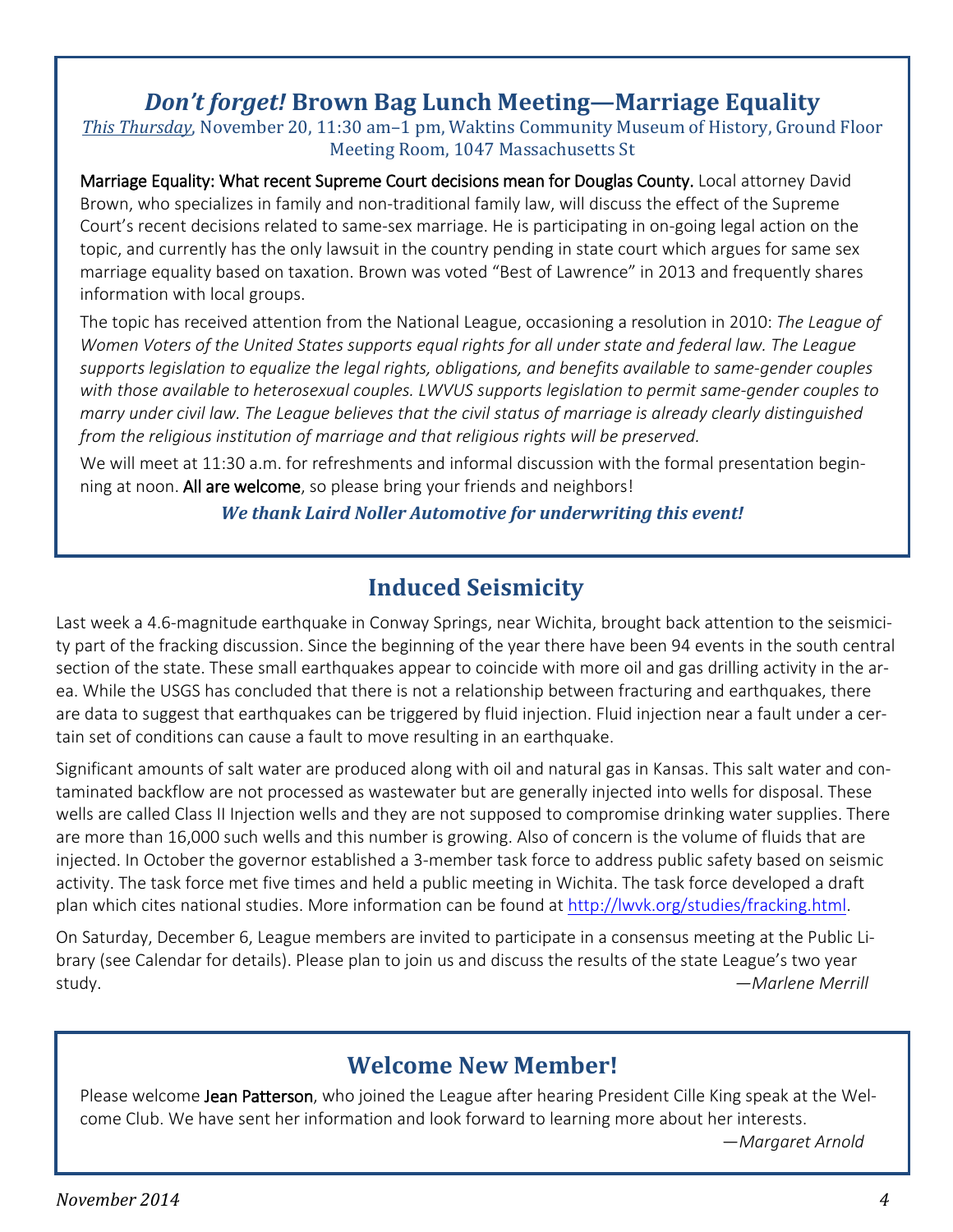### *Don't forget!* **Brown Bag Lunch Meeting—Marriage Equality**

*This Thursday*, November 20, 11:30 am–1 pm, Waktins Community Museum of History, Ground Floor Meeting Room, 1047 Massachusetts St

Marriage Equality: What recent Supreme Court decisions mean for Douglas County. Local attorney David Brown, who specializes in family and non-traditional family law, will discuss the effect of the Supreme Court's recent decisions related to same-sex marriage. He is participating in on-going legal action on the topic, and currently has the only lawsuit in the country pending in state court which argues for same sex marriage equality based on taxation. Brown was voted "Best of Lawrence" in 2013 and frequently shares information with local groups.

The topic has received attention from the National League, occasioning a resolution in 2010: *The League of Women Voters of the United States supports equal rights for all under state and federal law. The League supports legislation to equalize the legal rights, obligations, and benefits available to same-gender couples with those available to heterosexual couples. LWVUS supports legislation to permit same-gender couples to marry under civil law. The League believes that the civil status of marriage is already clearly distinguished from the religious institution of marriage and that religious rights will be preserved.*

We will meet at 11:30 a.m. for refreshments and informal discussion with the formal presentation beginning at noon. All are welcome, so please bring your friends and neighbors!

*We thank Laird Noller Automotive for underwriting this event!*

## **Induced Seismicity**

Last week a 4.6-magnitude earthquake in Conway Springs, near Wichita, brought back attention to the seismicity part of the fracking discussion. Since the beginning of the year there have been 94 events in the south central section of the state. These small earthquakes appear to coincide with more oil and gas drilling activity in the area. While the USGS has concluded that there is not a relationship between fracturing and earthquakes, there are data to suggest that earthquakes can be triggered by fluid injection. Fluid injection near a fault under a certain set of conditions can cause a fault to move resulting in an earthquake.

Significant amounts of salt water are produced along with oil and natural gas in Kansas. This salt water and contaminated backflow are not processed as wastewater but are generally injected into wells for disposal. These wells are called Class II Injection wells and they are not supposed to compromise drinking water supplies. There are more than 16,000 such wells and this number is growing. Also of concern is the volume of fluids that are injected. In October the governor established a 3-member task force to address public safety based on seismic activity. The task force met five times and held a public meeting in Wichita. The task force developed a draft plan which cites national studies. More information can be found at [http://lwvk.org/studies/fracking.html.](http://lwvk.org/studies/fracking.html)

On Saturday, December 6, League members are invited to participate in a consensus meeting at the Public Library (see Calendar for details). Please plan to join us and discuss the results of the state League's two year study. *—Marlene Merrill*

### **Welcome New Member!**

Please welcome Jean Patterson, who joined the League after hearing President Cille King speak at the Welcome Club. We have sent her information and look forward to learning more about her interests.

—*Margaret Arnold*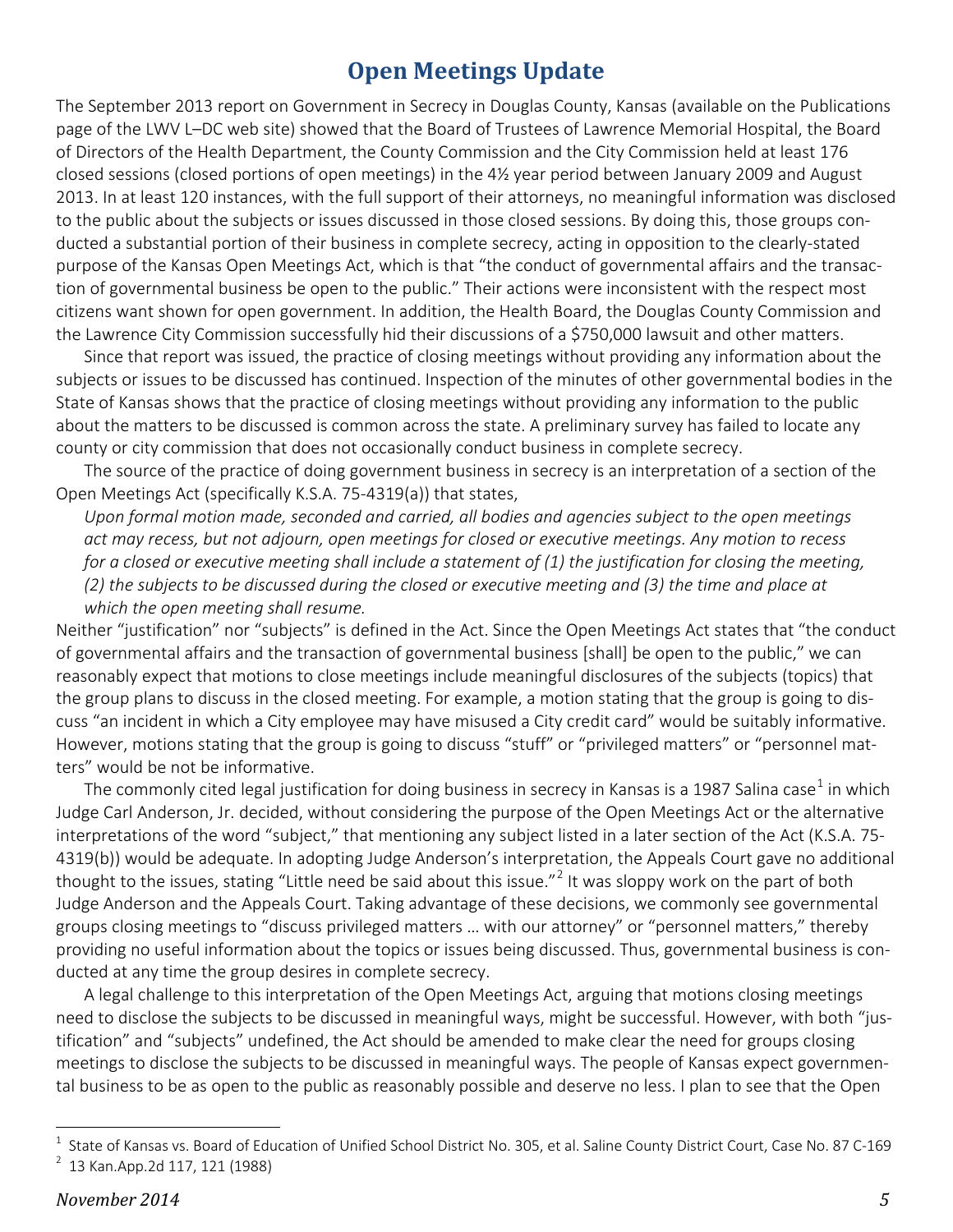## **Open Meetings Update**

The September 2013 report on Government in Secrecy in Douglas County, Kansas (available on the Publications page of the LWV L–DC web site) showed that the Board of Trustees of Lawrence Memorial Hospital, the Board of Directors of the Health Department, the County Commission and the City Commission held at least 176 closed sessions (closed portions of open meetings) in the 4½ year period between January 2009 and August 2013. In at least 120 instances, with the full support of their attorneys, no meaningful information was disclosed to the public about the subjects or issues discussed in those closed sessions. By doing this, those groups conducted a substantial portion of their business in complete secrecy, acting in opposition to the clearly-stated purpose of the Kansas Open Meetings Act, which is that "the conduct of governmental affairs and the transaction of governmental business be open to the public." Their actions were inconsistent with the respect most citizens want shown for open government. In addition, the Health Board, the Douglas County Commission and the Lawrence City Commission successfully hid their discussions of a \$750,000 lawsuit and other matters.

Since that report was issued, the practice of closing meetings without providing any information about the subjects or issues to be discussed has continued. Inspection of the minutes of other governmental bodies in the State of Kansas shows that the practice of closing meetings without providing any information to the public about the matters to be discussed is common across the state. A preliminary survey has failed to locate any county or city commission that does not occasionally conduct business in complete secrecy.

The source of the practice of doing government business in secrecy is an interpretation of a section of the Open Meetings Act (specifically K.S.A. 75-4319(a)) that states,

*Upon formal motion made, seconded and carried, all bodies and agencies subject to the open meetings act may recess, but not adjourn, open meetings for closed or executive meetings. Any motion to recess for a closed or executive meeting shall include a statement of (1) the justification for closing the meeting, (2) the subjects to be discussed during the closed or executive meeting and (3) the time and place at which the open meeting shall resume.*

Neither "justification" nor "subjects" is defined in the Act. Since the Open Meetings Act states that "the conduct of governmental affairs and the transaction of governmental business [shall] be open to the public," we can reasonably expect that motions to close meetings include meaningful disclosures of the subjects (topics) that the group plans to discuss in the closed meeting. For example, a motion stating that the group is going to discuss "an incident in which a City employee may have misused a City credit card" would be suitably informative. However, motions stating that the group is going to discuss "stuff" or "privileged matters" or "personnel matters" would be not be informative.

The commonly cited legal justification for doing business in secrecy in Kansas is a [1](#page-4-0)987 Salina case<sup>1</sup> in which Judge Carl Anderson, Jr. decided, without considering the purpose of the Open Meetings Act or the alternative interpretations of the word "subject," that mentioning any subject listed in a later section of the Act (K.S.A. 75- 4319(b)) would be adequate. In adopting Judge Anderson's interpretation, the Appeals Court gave no additional thought to the issues, stating "Little need be said about this issue."<sup>[2](#page-4-1)</sup> It was sloppy work on the part of both Judge Anderson and the Appeals Court. Taking advantage of these decisions, we commonly see governmental groups closing meetings to "discuss privileged matters … with our attorney" or "personnel matters," thereby providing no useful information about the topics or issues being discussed. Thus, governmental business is conducted at any time the group desires in complete secrecy.

A legal challenge to this interpretation of the Open Meetings Act, arguing that motions closing meetings need to disclose the subjects to be discussed in meaningful ways, might be successful. However, with both "justification" and "subjects" undefined, the Act should be amended to make clear the need for groups closing meetings to disclose the subjects to be discussed in meaningful ways. The people of Kansas expect governmental business to be as open to the public as reasonably possible and deserve no less. I plan to see that the Open

<span id="page-4-1"></span><span id="page-4-0"></span> $\frac{1}{1}$  State of Kansas vs. Board of Education of Unified School District No. 305, et al. Saline County District Court, Case No. 87 C-169 <sup>2</sup> 13 Kan. App. 2d 117, 121 (1988)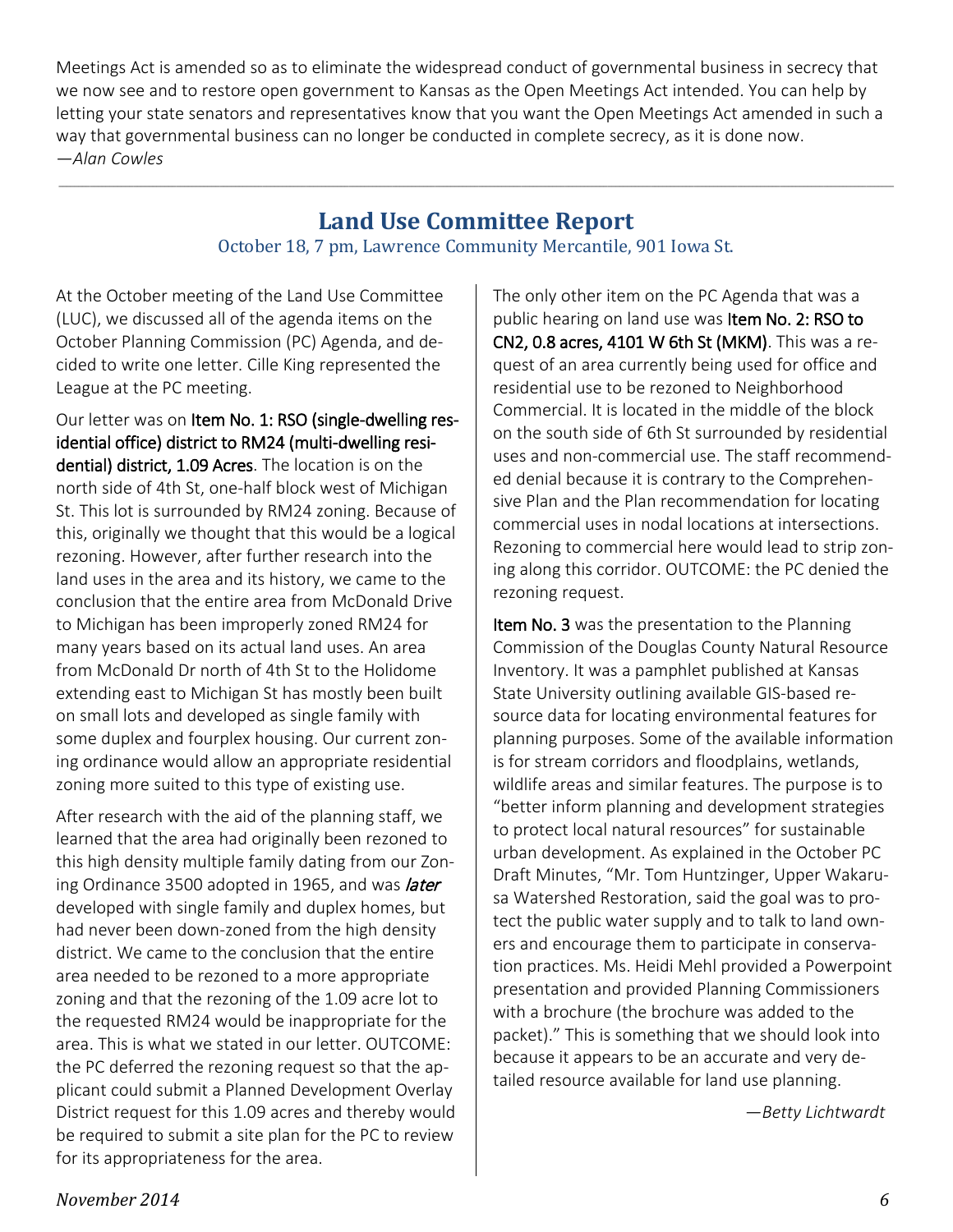Meetings Act is amended so as to eliminate the widespread conduct of governmental business in secrecy that we now see and to restore open government to Kansas as the Open Meetings Act intended. You can help by letting your state senators and representatives know that you want the Open Meetings Act amended in such a way that governmental business can no longer be conducted in complete secrecy, as it is done now. *—Alan Cowles*

#### **Land Use Committee Report**

**\_\_\_\_\_\_\_\_\_\_\_\_\_\_\_\_\_\_\_\_\_\_\_\_\_\_\_\_\_\_\_\_\_\_\_\_\_\_\_\_\_\_\_\_\_\_\_\_\_\_\_\_\_\_\_\_\_\_\_\_\_\_\_\_\_\_\_\_\_\_\_\_\_\_\_\_\_\_\_\_\_\_\_\_\_\_\_\_\_\_\_\_\_\_\_\_\_\_\_\_\_\_\_\_\_\_\_\_\_\_\_\_\_\_\_\_\_\_\_\_\_\_\_\_\_\_\_\_\_\_\_\_\_\_\_\_\_\_\_\_\_\_\_\_\_\_\_\_\_\_\_\_\_\_\_\_\_\_\_\_\_\_\_\_\_\_\_\_\_\_\_\_\_\_\_\_\_\_\_\_\_\_\_\_\_\_\_\_\_\_\_\_\_\_\_\_\_\_\_\_\_\_\_\_\_\_\_\_\_\_\_\_\_**

October 18, 7 pm, Lawrence Community Mercantile, 901 Iowa St.

At the October meeting of the Land Use Committee (LUC), we discussed all of the agenda items on the October Planning Commission (PC) Agenda, and decided to write one letter. Cille King represented the League at the PC meeting.

Our letter was on Item No. 1: RSO (single-dwelling residential office) district to RM24 (multi-dwelling residential) district, 1.09 Acres. The location is on the north side of 4th St, one-half block west of Michigan St. This lot is surrounded by RM24 zoning. Because of this, originally we thought that this would be a logical rezoning. However, after further research into the land uses in the area and its history, we came to the conclusion that the entire area from McDonald Drive to Michigan has been improperly zoned RM24 for many years based on its actual land uses. An area from McDonald Dr north of 4th St to the Holidome extending east to Michigan St has mostly been built on small lots and developed as single family with some duplex and fourplex housing. Our current zoning ordinance would allow an appropriate residential zoning more suited to this type of existing use.

After research with the aid of the planning staff, we learned that the area had originally been rezoned to this high density multiple family dating from our Zoning Ordinance 3500 adopted in 1965, and was *later* developed with single family and duplex homes, but had never been down-zoned from the high density district. We came to the conclusion that the entire area needed to be rezoned to a more appropriate zoning and that the rezoning of the 1.09 acre lot to the requested RM24 would be inappropriate for the area. This is what we stated in our letter. OUTCOME: the PC deferred the rezoning request so that the applicant could submit a Planned Development Overlay District request for this 1.09 acres and thereby would be required to submit a site plan for the PC to review for its appropriateness for the area.

The only other item on the PC Agenda that was a public hearing on land use was Item No. 2: RSO to CN2, 0.8 acres, 4101 W 6th St (MKM). This was a request of an area currently being used for office and residential use to be rezoned to Neighborhood Commercial. It is located in the middle of the block on the south side of 6th St surrounded by residential uses and non-commercial use. The staff recommended denial because it is contrary to the Comprehensive Plan and the Plan recommendation for locating commercial uses in nodal locations at intersections. Rezoning to commercial here would lead to strip zoning along this corridor. OUTCOME: the PC denied the rezoning request.

Item No. 3 was the presentation to the Planning Commission of the Douglas County Natural Resource Inventory. It was a pamphlet published at Kansas State University outlining available GIS-based resource data for locating environmental features for planning purposes. Some of the available information is for stream corridors and floodplains, wetlands, wildlife areas and similar features. The purpose is to "better inform planning and development strategies to protect local natural resources" for sustainable urban development. As explained in the October PC Draft Minutes, "Mr. Tom Huntzinger, Upper Wakarusa Watershed Restoration, said the goal was to protect the public water supply and to talk to land owners and encourage them to participate in conservation practices. Ms. Heidi Mehl provided a Powerpoint presentation and provided Planning Commissioners with a brochure (the brochure was added to the packet)." This is something that we should look into because it appears to be an accurate and very detailed resource available for land use planning.

*—Betty Lichtwardt*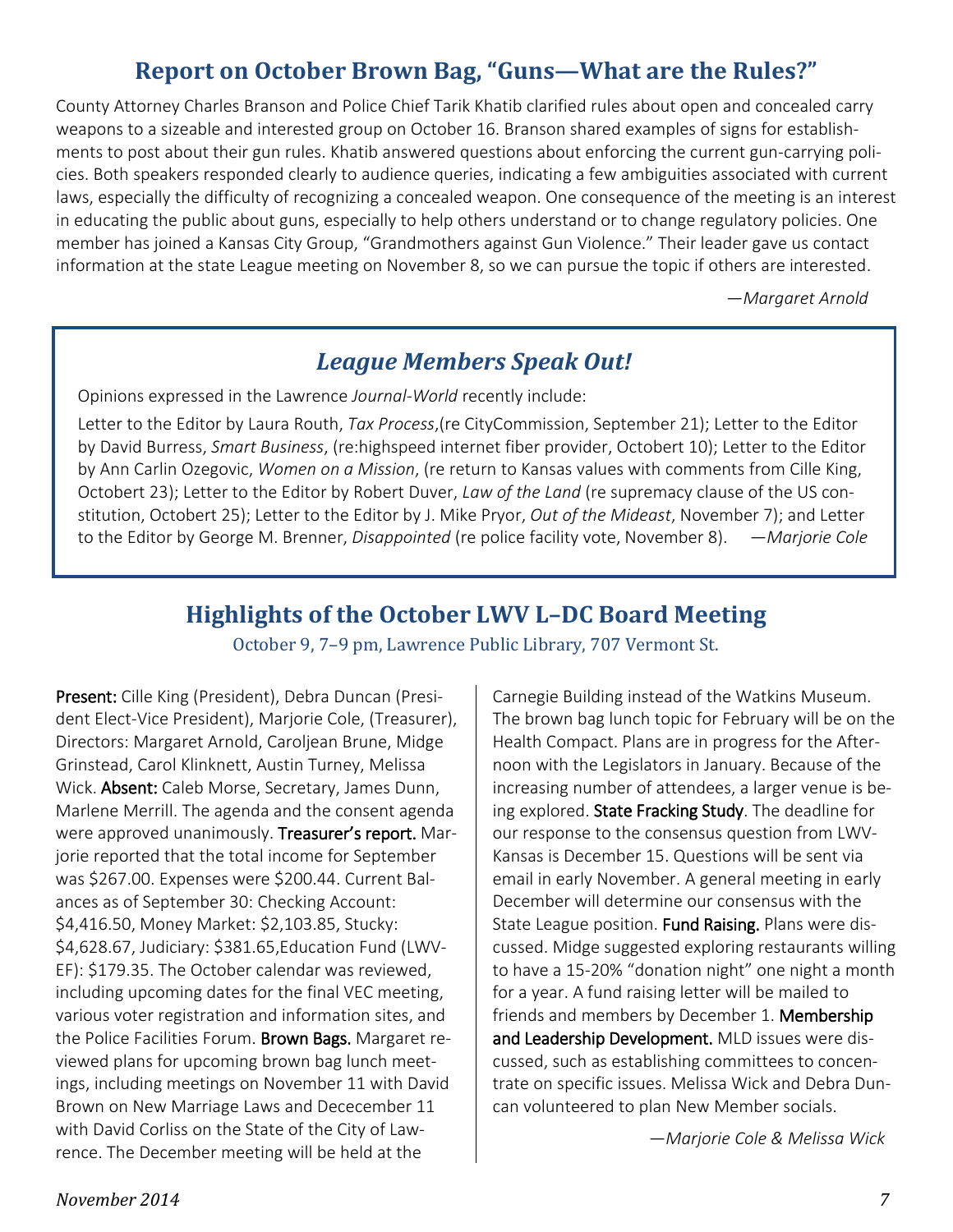## **Report on October Brown Bag, "Guns—What are the Rules?"**

County Attorney Charles Branson and Police Chief Tarik Khatib clarified rules about open and concealed carry weapons to a sizeable and interested group on October 16. Branson shared examples of signs for establishments to post about their gun rules. Khatib answered questions about enforcing the current gun-carrying policies. Both speakers responded clearly to audience queries, indicating a few ambiguities associated with current laws, especially the difficulty of recognizing a concealed weapon. One consequence of the meeting is an interest in educating the public about guns, especially to help others understand or to change regulatory policies. One member has joined a Kansas City Group, "Grandmothers against Gun Violence." Their leader gave us contact information at the state League meeting on November 8, so we can pursue the topic if others are interested.

*—Margaret Arnold*

#### *League Members Speak Out!*

Opinions expressed in the Lawrence *Journal-World* recently include:

Letter to the Editor by Laura Routh, *Tax Process*,(re CityCommission, September 21); Letter to the Editor by David Burress, *Smart Business*, (re:highspeed internet fiber provider, Octobert 10); Letter to the Editor by Ann Carlin Ozegovic, *Women on a Mission*, (re return to Kansas values with comments from Cille King, Octobert 23); Letter to the Editor by Robert Duver, *Law of the Land* (re supremacy clause of the US constitution, Octobert 25); Letter to the Editor by J. Mike Pryor, *Out of the Mideast*, November 7); and Letter to the Editor by George M. Brenner, *Disappointed* (re police facility vote, November 8). *—Marjorie Cole*

#### **Highlights of the October LWV L–DC Board Meeting**

October 9, 7–9 pm, Lawrence Public Library, 707 Vermont St.

Present: Cille King (President), Debra Duncan (President Elect-Vice President), Marjorie Cole, (Treasurer), Directors: Margaret Arnold, Caroljean Brune, Midge Grinstead, Carol Klinknett, Austin Turney, Melissa Wick. Absent: Caleb Morse, Secretary, James Dunn, Marlene Merrill. The agenda and the consent agenda were approved unanimously. Treasurer's report. Marjorie reported that the total income for September was \$267.00. Expenses were \$200.44. Current Balances as of September 30: Checking Account: \$4,416.50, Money Market: \$2,103.85, Stucky: \$4,628.67, Judiciary: \$381.65,Education Fund (LWV-EF): \$179.35. The October calendar was reviewed, including upcoming dates for the final VEC meeting, various voter registration and information sites, and the Police Facilities Forum. Brown Bags. Margaret reviewed plans for upcoming brown bag lunch meetings, including meetings on November 11 with David Brown on New Marriage Laws and Dececember 11 with David Corliss on the State of the City of Lawrence. The December meeting will be held at the

Carnegie Building instead of the Watkins Museum. The brown bag lunch topic for February will be on the Health Compact. Plans are in progress for the Afternoon with the Legislators in January. Because of the increasing number of attendees, a larger venue is being explored. State Fracking Study. The deadline for our response to the consensus question from LWV-Kansas is December 15. Questions will be sent via email in early November. A general meeting in early December will determine our consensus with the State League position. Fund Raising. Plans were discussed. Midge suggested exploring restaurants willing to have a 15-20% "donation night" one night a month for a year. A fund raising letter will be mailed to friends and members by December 1. Membership and Leadership Development. MLD issues were discussed, such as establishing committees to concentrate on specific issues. Melissa Wick and Debra Duncan volunteered to plan New Member socials.

—*Marjorie Cole & Melissa Wick*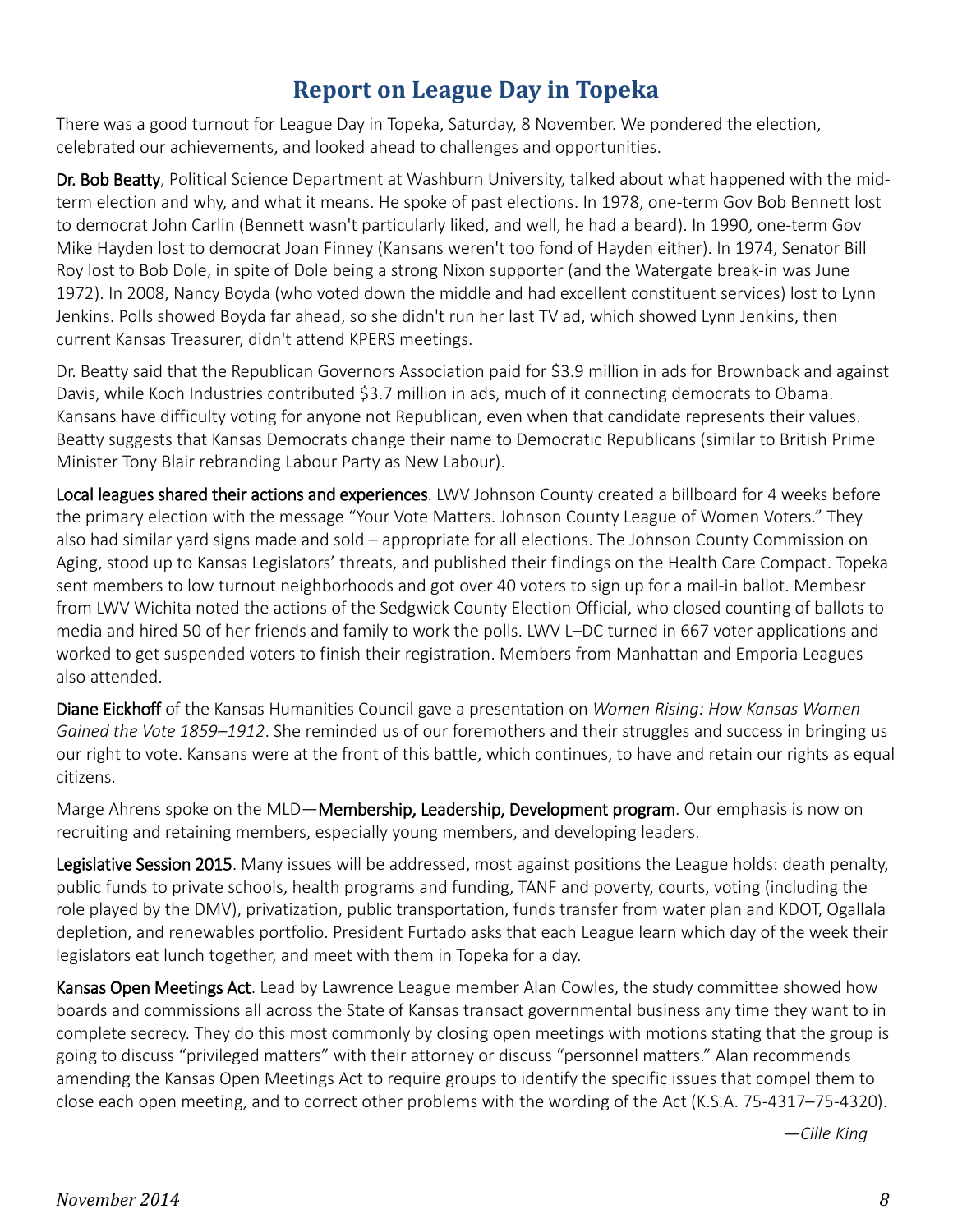#### **Report on League Day in Topeka**

There was a good turnout for League Day in Topeka, Saturday, 8 November. We pondered the election, celebrated our achievements, and looked ahead to challenges and opportunities.

Dr. Bob Beatty, Political Science Department at Washburn University, talked about what happened with the midterm election and why, and what it means. He spoke of past elections. In 1978, one-term Gov Bob Bennett lost to democrat John Carlin (Bennett wasn't particularly liked, and well, he had a beard). In 1990, one-term Gov Mike Hayden lost to democrat Joan Finney (Kansans weren't too fond of Hayden either). In 1974, Senator Bill Roy lost to Bob Dole, in spite of Dole being a strong Nixon supporter (and the Watergate break-in was June 1972). In 2008, Nancy Boyda (who voted down the middle and had excellent constituent services) lost to Lynn Jenkins. Polls showed Boyda far ahead, so she didn't run her last TV ad, which showed Lynn Jenkins, then current Kansas Treasurer, didn't attend KPERS meetings.

Dr. Beatty said that the Republican Governors Association paid for \$3.9 million in ads for Brownback and against Davis, while Koch Industries contributed \$3.7 million in ads, much of it connecting democrats to Obama. Kansans have difficulty voting for anyone not Republican, even when that candidate represents their values. Beatty suggests that Kansas Democrats change their name to Democratic Republicans (similar to British Prime Minister Tony Blair rebranding Labour Party as New Labour).

Local leagues shared their actions and experiences. LWV Johnson County created a billboard for 4 weeks before the primary election with the message "Your Vote Matters. Johnson County League of Women Voters." They also had similar yard signs made and sold – appropriate for all elections. The Johnson County Commission on Aging, stood up to Kansas Legislators' threats, and published their findings on the Health Care Compact. Topeka sent members to low turnout neighborhoods and got over 40 voters to sign up for a mail-in ballot. Membesr from LWV Wichita noted the actions of the Sedgwick County Election Official, who closed counting of ballots to media and hired 50 of her friends and family to work the polls. LWV L–DC turned in 667 voter applications and worked to get suspended voters to finish their registration. Members from Manhattan and Emporia Leagues also attended.

Diane Eickhoff of the Kansas Humanities Council gave a presentation on *Women Rising: How Kansas Women Gained the Vote 1859–1912*. She reminded us of our foremothers and their struggles and success in bringing us our right to vote. Kansans were at the front of this battle, which continues, to have and retain our rights as equal citizens.

Marge Ahrens spoke on the MLD—Membership, Leadership, Development program. Our emphasis is now on recruiting and retaining members, especially young members, and developing leaders.

Legislative Session 2015. Many issues will be addressed, most against positions the League holds: death penalty, public funds to private schools, health programs and funding, TANF and poverty, courts, voting (including the role played by the DMV), privatization, public transportation, funds transfer from water plan and KDOT, Ogallala depletion, and renewables portfolio. President Furtado asks that each League learn which day of the week their legislators eat lunch together, and meet with them in Topeka for a day.

Kansas Open Meetings Act. Lead by Lawrence League member Alan Cowles, the study committee showed how boards and commissions all across the State of Kansas transact governmental business any time they want to in complete secrecy. They do this most commonly by closing open meetings with motions stating that the group is going to discuss "privileged matters" with their attorney or discuss "personnel matters." Alan recommends amending the Kansas Open Meetings Act to require groups to identify the specific issues that compel them to close each open meeting, and to correct other problems with the wording of the Act (K.S.A. 75-4317–75-4320).

*—Cille King*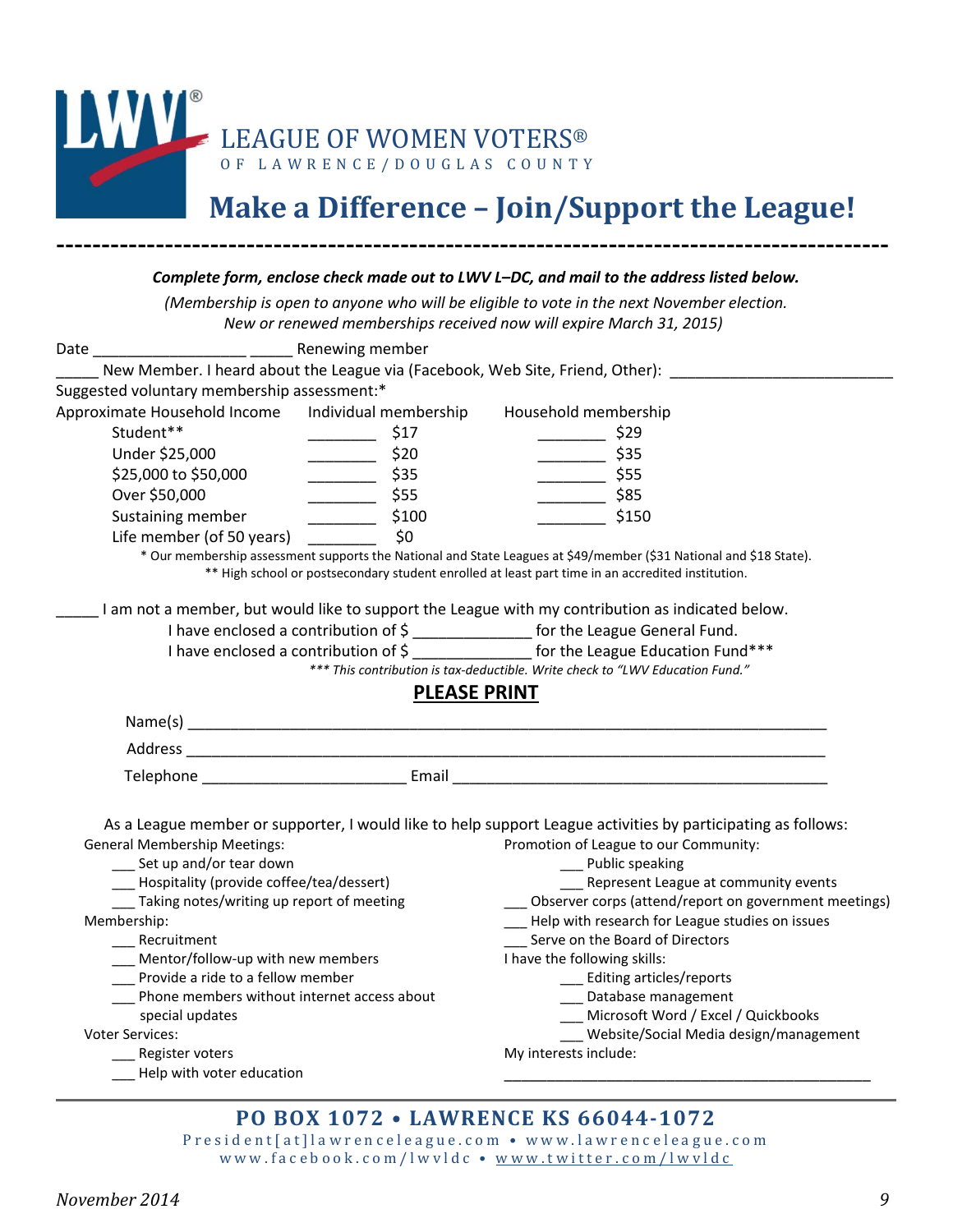

# **Make a Difference – Join/Support the League!**

|                                                             |                                                        | (Membership is open to anyone who will be eligible to vote in the next November election.                                                                              |
|-------------------------------------------------------------|--------------------------------------------------------|------------------------------------------------------------------------------------------------------------------------------------------------------------------------|
|                                                             |                                                        | New or renewed memberships received now will expire March 31, 2015)                                                                                                    |
|                                                             |                                                        |                                                                                                                                                                        |
|                                                             |                                                        | New Member. I heard about the League via (Facebook, Web Site, Friend, Other): _____________                                                                            |
| Suggested voluntary membership assessment:*                 |                                                        |                                                                                                                                                                        |
| Approximate Household Income Individual membership          |                                                        | Household membership                                                                                                                                                   |
| Student**                                                   | \$17<br>$\mathcal{L} = \mathcal{L} \times \mathcal{L}$ | $\frac{\sqrt{25}}{2}$ \$29                                                                                                                                             |
| Under \$25,000                                              | $\frac{1}{20}$ \$20                                    | $\frac{1}{2}$ \$35                                                                                                                                                     |
| \$25,000 to \$50,000                                        | $\frac{1}{2}$ \$35                                     | $\frac{1}{2}$ \$55                                                                                                                                                     |
| Over \$50,000                                               | \$55<br>$\overline{\phantom{a}}$                       | $\frac{1}{2}$ \$85                                                                                                                                                     |
| Sustaining member                                           | $\frac{1}{2}$ \$100                                    | \$150                                                                                                                                                                  |
| Life member (of 50 years)                                   | \$0                                                    |                                                                                                                                                                        |
|                                                             |                                                        | * Our membership assessment supports the National and State Leagues at \$49/member (\$31 National and \$18 State).                                                     |
|                                                             |                                                        | ** High school or postsecondary student enrolled at least part time in an accredited institution.                                                                      |
|                                                             |                                                        |                                                                                                                                                                        |
|                                                             |                                                        | I am not a member, but would like to support the League with my contribution as indicated below.                                                                       |
|                                                             |                                                        | I have enclosed a contribution of \$ ________________ for the League General Fund.                                                                                     |
|                                                             |                                                        | I have enclosed a contribution of \$ _______________ for the League Education Fund***<br>*** This contribution is tax-deductible. Write check to "LWV Education Fund." |
|                                                             |                                                        |                                                                                                                                                                        |
|                                                             |                                                        |                                                                                                                                                                        |
|                                                             | <b>PLEASE PRINT</b>                                    |                                                                                                                                                                        |
|                                                             |                                                        |                                                                                                                                                                        |
|                                                             |                                                        |                                                                                                                                                                        |
|                                                             |                                                        |                                                                                                                                                                        |
|                                                             |                                                        |                                                                                                                                                                        |
|                                                             |                                                        |                                                                                                                                                                        |
|                                                             |                                                        | As a League member or supporter, I would like to help support League activities by participating as follows:                                                           |
| <b>General Membership Meetings:</b>                         |                                                        | Promotion of League to our Community:                                                                                                                                  |
| __ Set up and/or tear down                                  |                                                        | __ Public speaking                                                                                                                                                     |
| __ Hospitality (provide coffee/tea/dessert)                 |                                                        | ___ Represent League at community events                                                                                                                               |
| __ Taking notes/writing up report of meeting<br>Membership: |                                                        | Observer corps (attend/report on government meetings)<br>Help with research for League studies on issues                                                               |
| Recruitment                                                 |                                                        | Serve on the Board of Directors                                                                                                                                        |
| Mentor/follow-up with new members                           |                                                        | I have the following skills:                                                                                                                                           |
| Provide a ride to a fellow member                           |                                                        | _ Editing articles/reports                                                                                                                                             |
| Phone members without internet access about                 |                                                        | Database management                                                                                                                                                    |
| special updates                                             |                                                        | Microsoft Word / Excel / Quickbooks                                                                                                                                    |
| <b>Voter Services:</b>                                      |                                                        | Website/Social Media design/management                                                                                                                                 |
| Register voters<br>_Help with voter education               |                                                        | My interests include:                                                                                                                                                  |

#### **PO BOX 1072 • LAWRENCE KS 66044-1072**

President [at] lawrenceleague.com • www.lawrenceleague.com w ww.facebook.com/lwvldc • [www.twitter.com/lwvldc](http://www.twitter.com/lwvldc)